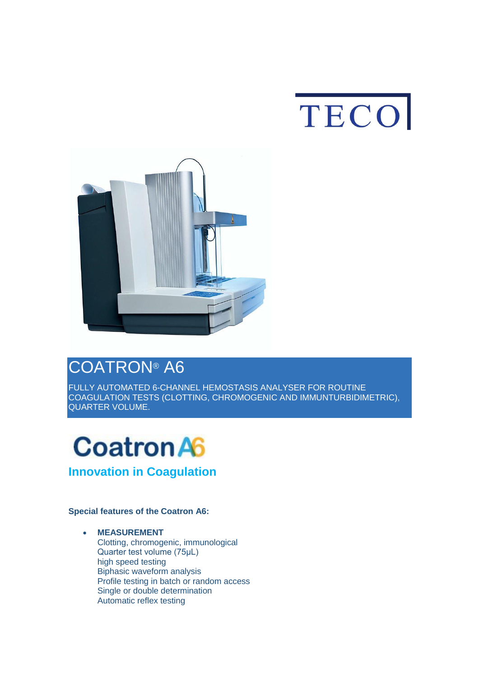



# [COATRON](https://www.teco-medical.com/en/coatron-a6.html)® A6

[FULLY AUTOMATED 6-CHANNEL HEMOSTASIS ANALYSER FOR ROUTINE](https://www.teco-medical.com/en/coatron-a6.html)  [COAGULATION TESTS \(CLOTTING, CHROMOGENIC](https://www.teco-medical.com/en/coatron-a6.html) AND IMMUNTURBIDIMETRIC), [QUARTER VOLUME.](https://www.teco-medical.com/en/coatron-a6.html)



### **Special features of the Coatron A6:**

 **MEASUREMENT** Clotting, chromogenic, immunological Quarter test volume (75μL) high speed testing Biphasic waveform analysis Profile testing in batch or random access Single or double determination Automatic reflex testing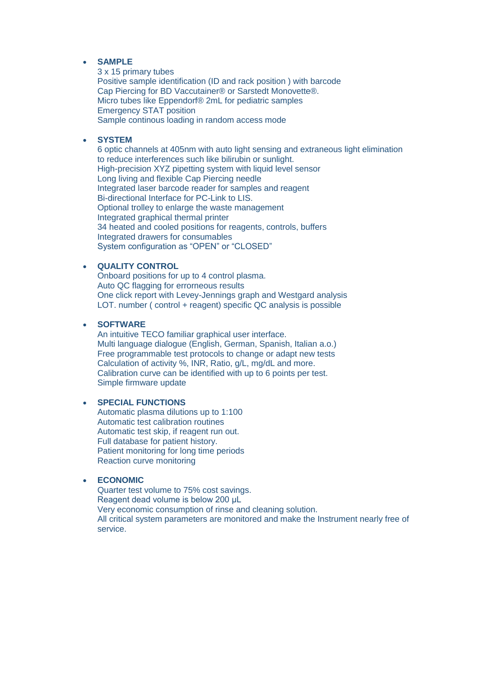#### **SAMPLE**

3 x 15 primary tubes Positive sample identification (ID and rack position ) with barcode Cap Piercing for BD Vaccutainer® or Sarstedt Monovette®. Micro tubes like Eppendorf® 2mL for pediatric samples Emergency STAT position Sample continous loading in random access mode

#### **SYSTEM**

6 optic channels at 405nm with auto light sensing and extraneous light elimination to reduce interferences such like bilirubin or sunlight. High-precision XYZ pipetting system with liquid level sensor Long living and flexible Cap Piercing needle Integrated laser barcode reader for samples and reagent Bi-directional Interface for PC-Link to LIS. Optional trolley to enlarge the waste management Integrated graphical thermal printer 34 heated and cooled positions for reagents, controls, buffers Integrated drawers for consumables System configuration as "OPEN" or "CLOSED"

#### **QUALITY CONTROL**

Onboard positions for up to 4 control plasma. Auto QC flagging for errorneous results One click report with Levey-Jennings graph and Westgard analysis LOT. number ( control + reagent) specific QC analysis is possible

#### **SOFTWARE**

An intuitive TECO familiar graphical user interface. Multi language dialogue (English, German, Spanish, Italian a.o.) Free programmable test protocols to change or adapt new tests Calculation of activity %, INR, Ratio, g/L, mg/dL and more. Calibration curve can be identified with up to 6 points per test. Simple firmware update

#### **SPECIAL FUNCTIONS**

Automatic plasma dilutions up to 1:100 Automatic test calibration routines Automatic test skip, if reagent run out. Full database for patient history. Patient monitoring for long time periods Reaction curve monitoring

#### **ECONOMIC**

Quarter test volume to 75% cost savings. Reagent dead volume is below 200 μL Very economic consumption of rinse and cleaning solution. All critical system parameters are monitored and make the Instrument nearly free of service.